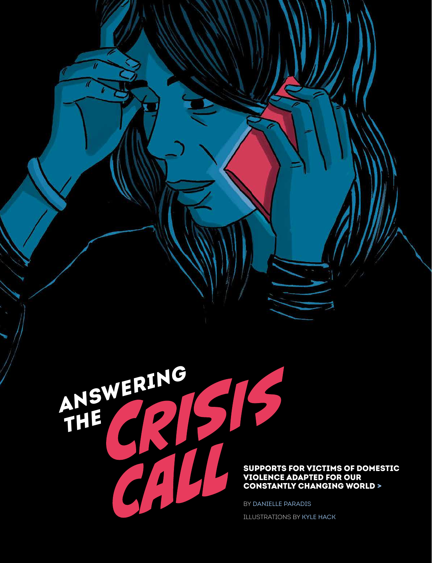

## SUPPORTS FOR VICTIMS OF DOMESTIC VIOLENCE ADAPTED FOR OUR CONSTANTLY CHANGING WORLD >

BY DANIELLE PARADIS ILLUSTRATIONS BY KYLE HACK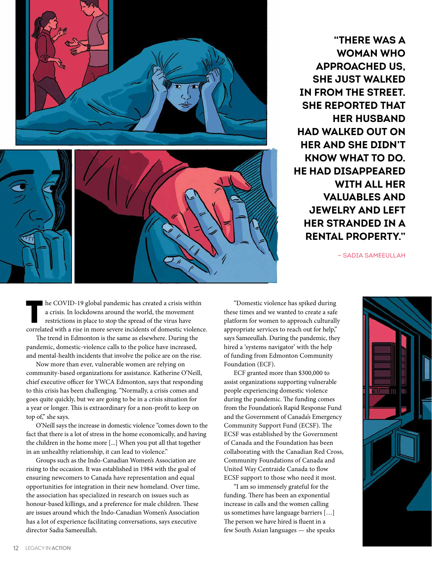

**"THERE WAS A WOMAN WHO APPROACHED US, SHE JUST WALKED IN FROM THE STREET. SHE REPORTED THAT HER HUSBAND HAD WALKED OUT ON HER AND SHE DIDN'T KNOW WHAT TO DO. HE HAD DISAPPEARED WITH ALL HER VALUABLES AND JEWELRY AND LEFT HER STRANDED IN A RENTAL PROPERTY."**

— SADIA SAMEEULLAH

he COVID-19 global pandemic has created a crisis within a crisis. In lockdowns around the world, the movement restrictions in place to stop the spread of the virus have correlated with a rise in more severe incidents of domestic violence.

The trend in Edmonton is the same as elsewhere. During the pandemic, domestic-violence calls to the police have increased, and mental-health incidents that involve the police are on the rise.

Now more than ever, vulnerable women are relying on community-based organizations for assistance. Katherine O'Neill, chief executive officer for YWCA Edmonton, says that responding to this crisis has been challenging. "Normally, a crisis comes and goes quite quickly, but we are going to be in a crisis situation for a year or longer. This is extraordinary for a non-profit to keep on top of," she says.

O'Neill says the increase in domestic violence "comes down to the fact that there is a lot of stress in the home economically, and having the children in the home more [...] When you put all that together in an unhealthy relationship, it can lead to violence."

Groups such as the Indo-Canadian Women's Association are rising to the occasion. It was established in 1984 with the goal of ensuring newcomers to Canada have representation and equal opportunities for integration in their new homeland. Over time, the association has specialized in research on issues such as honour-based killings, and a preference for male children. These are issues around which the Indo-Canadian Women's Association has a lot of experience facilitating conversations, says executive director Sadia Sameeullah.

"Domestic violence has spiked during these times and we wanted to create a safe platform for women to approach culturally appropriate services to reach out for help," says Sameeullah. During the pandemic, they hired a 'systems navigator' with the help of funding from Edmonton Community Foundation (ECF).

ECF granted more than \$300,000 to assist organizations supporting vulnerable people experiencing domestic violence during the pandemic. The funding comes from the Foundation's Rapid Response Fund and the Government of Canada's Emergency Community Support Fund (ECSF). The ECSF was established by the Government of Canada and the Foundation has been collaborating with the Canadian Red Cross, Community Foundations of Canada and United Way Centraide Canada to flow ECSF support to those who need it most.

"I am so immensely grateful for the funding. There has been an exponential increase in calls and the women calling us sometimes have language barriers […] The person we have hired is fluent in a few South Asian languages — she speaks